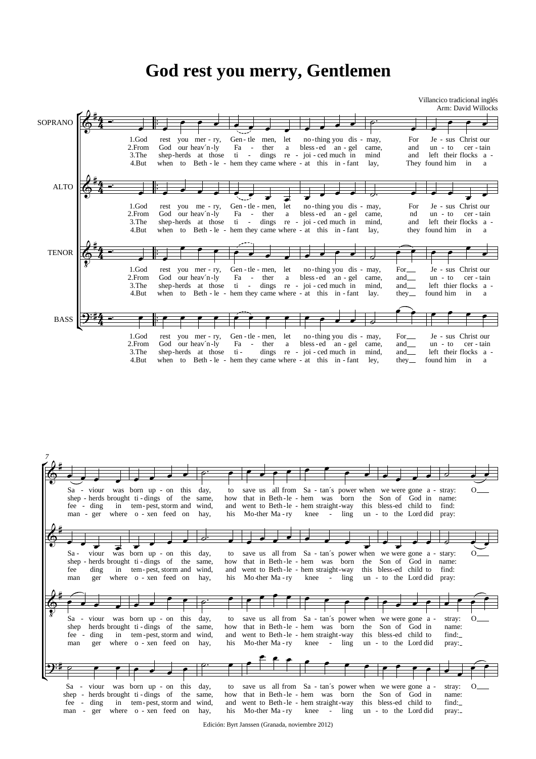## **God rest you merry, Gentlemen**

Villancico tradicional inglés Arm: David Willocks



|      |                                                                                       |  |  |                                                                                                                                                                                                                                                                                                                                                                                             |     |  |                                                            |                                        | $\overrightarrow{r}$ , $\overrightarrow{r}$ , $\overrightarrow{r}$ |                        |  |                        |                 |          |
|------|---------------------------------------------------------------------------------------|--|--|---------------------------------------------------------------------------------------------------------------------------------------------------------------------------------------------------------------------------------------------------------------------------------------------------------------------------------------------------------------------------------------------|-----|--|------------------------------------------------------------|----------------------------------------|--------------------------------------------------------------------|------------------------|--|------------------------|-----------------|----------|
|      |                                                                                       |  |  |                                                                                                                                                                                                                                                                                                                                                                                             |     |  |                                                            |                                        |                                                                    |                        |  |                        |                 |          |
|      | Sa - viour was born up - on this day,                                                 |  |  |                                                                                                                                                                                                                                                                                                                                                                                             |     |  |                                                            |                                        | to save us all from Sa - tan's power when we were gone a - stray:  |                        |  |                        |                 |          |
|      | shep - herds brought ti - dings of the same,                                          |  |  |                                                                                                                                                                                                                                                                                                                                                                                             |     |  |                                                            |                                        | how that in Beth-le-hem was born the Son of God in name:           |                        |  |                        |                 |          |
|      | fee - ding in tem-pest, storm and wind,                                               |  |  |                                                                                                                                                                                                                                                                                                                                                                                             |     |  |                                                            | and went to Beth-le - hem straight-way |                                                                    | this bless-ed child to |  |                        | find:           |          |
|      | man - ger where o - xen feed on hay,                                                  |  |  |                                                                                                                                                                                                                                                                                                                                                                                             | his |  |                                                            |                                        | Mo-ther Ma-ry knee - ling un - to the Lord did pray:               |                        |  |                        |                 |          |
|      |                                                                                       |  |  |                                                                                                                                                                                                                                                                                                                                                                                             |     |  |                                                            |                                        |                                                                    |                        |  |                        |                 |          |
|      |                                                                                       |  |  |                                                                                                                                                                                                                                                                                                                                                                                             |     |  |                                                            |                                        |                                                                    |                        |  |                        |                 |          |
|      |                                                                                       |  |  | $\frac{1}{2}$ $\frac{1}{2}$ $\frac{1}{2}$ $\frac{1}{2}$ $\frac{1}{2}$ $\frac{1}{2}$ $\frac{1}{2}$ $\frac{1}{2}$                                                                                                                                                                                                                                                                             |     |  |                                                            |                                        |                                                                    |                        |  |                        |                 |          |
|      |                                                                                       |  |  |                                                                                                                                                                                                                                                                                                                                                                                             |     |  |                                                            |                                        |                                                                    |                        |  |                        |                 |          |
| Sa - | viour was born up - on this day,                                                      |  |  |                                                                                                                                                                                                                                                                                                                                                                                             |     |  |                                                            |                                        | to save us all from Sa - tan's power when we were gone a - stary:  |                        |  |                        |                 | $\Omega$ |
|      | shep - herds brought ti - dings of the same,                                          |  |  |                                                                                                                                                                                                                                                                                                                                                                                             |     |  |                                                            |                                        | how that in Beth-le-hem was born the Son of God in name:           |                        |  |                        |                 |          |
| fee  | ding in tem-pest, storm and wind,                                                     |  |  |                                                                                                                                                                                                                                                                                                                                                                                             |     |  |                                                            |                                        | and went to Beth-le - hem straight-way                             |                        |  | this bless-ed child to | find:           |          |
| man  | ger where o - xen feed on hay,                                                        |  |  |                                                                                                                                                                                                                                                                                                                                                                                             | his |  |                                                            |                                        | Mo-ther Ma-ry knee - ling un - to the Lord did pray:               |                        |  |                        |                 |          |
|      |                                                                                       |  |  |                                                                                                                                                                                                                                                                                                                                                                                             |     |  |                                                            |                                        |                                                                    |                        |  |                        |                 |          |
|      |                                                                                       |  |  |                                                                                                                                                                                                                                                                                                                                                                                             |     |  |                                                            |                                        |                                                                    |                        |  |                        |                 |          |
|      |                                                                                       |  |  | $\bullet$   $\circ$   $\bullet$   $\bullet$   $\bullet$   $\bullet$   $\bullet$   $\bullet$   $\bullet$   $\bullet$   $\bullet$   $\bullet$   $\bullet$   $\bullet$   $\bullet$   $\bullet$   $\bullet$   $\bullet$   $\bullet$   $\bullet$   $\bullet$   $\bullet$   $\bullet$   $\bullet$   $\bullet$   $\bullet$   $\bullet$   $\bullet$   $\bullet$   $\bullet$   $\bullet$   $\bullet$ |     |  |                                                            |                                        |                                                                    |                        |  |                        |                 |          |
|      |                                                                                       |  |  |                                                                                                                                                                                                                                                                                                                                                                                             |     |  |                                                            |                                        |                                                                    |                        |  |                        |                 |          |
|      | Sa - viour was born up - on this day,                                                 |  |  |                                                                                                                                                                                                                                                                                                                                                                                             |     |  |                                                            |                                        | to save us all from Sa - tan's power when we were gone a -         |                        |  |                        | stray:          | $O_{-}$  |
| shep | herds brought ti-dings of the same,                                                   |  |  |                                                                                                                                                                                                                                                                                                                                                                                             |     |  |                                                            |                                        | how that in Beth-le-hem was born the Son of God in                 |                        |  |                        | name:           |          |
|      | fee - ding in tem-pest, storm and wind,                                               |  |  |                                                                                                                                                                                                                                                                                                                                                                                             |     |  |                                                            |                                        | and went to Beth-le - hem straight-way this bless-ed child to      |                        |  |                        | find:           |          |
| man  | ger where o - xen feed on hay,                                                        |  |  |                                                                                                                                                                                                                                                                                                                                                                                             | his |  |                                                            |                                        | Mo-ther Ma-ry knee - ling un - to the Lord did                     |                        |  |                        | pray:_          |          |
|      |                                                                                       |  |  |                                                                                                                                                                                                                                                                                                                                                                                             |     |  |                                                            |                                        |                                                                    |                        |  |                        |                 |          |
|      |                                                                                       |  |  |                                                                                                                                                                                                                                                                                                                                                                                             |     |  |                                                            |                                        |                                                                    |                        |  |                        |                 |          |
|      |                                                                                       |  |  |                                                                                                                                                                                                                                                                                                                                                                                             |     |  |                                                            |                                        |                                                                    |                        |  |                        |                 |          |
|      |                                                                                       |  |  |                                                                                                                                                                                                                                                                                                                                                                                             |     |  |                                                            |                                        |                                                                    |                        |  |                        |                 |          |
|      |                                                                                       |  |  |                                                                                                                                                                                                                                                                                                                                                                                             |     |  |                                                            |                                        |                                                                    |                        |  |                        |                 |          |
|      |                                                                                       |  |  |                                                                                                                                                                                                                                                                                                                                                                                             |     |  |                                                            |                                        |                                                                    |                        |  |                        |                 |          |
|      | Sa - viour was born up - on this day,<br>shep - herds brought ti - dings of the same, |  |  |                                                                                                                                                                                                                                                                                                                                                                                             | how |  | to save us all from Sa - tan's power when we were gone a - |                                        | that in Beth-le-hem was born the Son of God in                     |                        |  |                        | stray:<br>name: | $O-$     |

Edición: Byrt Janssen (Granada, noviembre 2012) Mo-ther Ma-ry

knee

- ling

un - to the Lord did

pray:

his

man - ger where o - xen feed on hay,